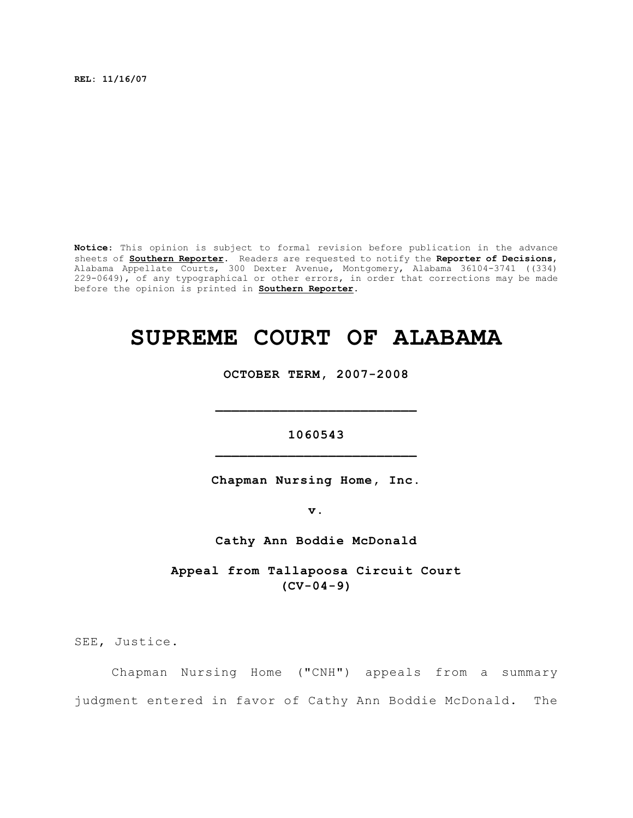**REL: 11/16/07**

**Notice**: This opinion is subject to formal revision before publication in the advance sheets of **Southern Reporter**. Readers are requested to notify the **Reporter of Decisions**, Alabama Appellate Courts, 300 Dexter Avenue, Montgomery, Alabama 36104-3741 ((334) 229-0649), of any typographical or other errors, in order that corrections may be made before the opinion is printed in **Southern Reporter**.

# **SUPREME COURT OF ALABAMA**

**OCTOBER TERM, 2007-2008**

**1060543 \_\_\_\_\_\_\_\_\_\_\_\_\_\_\_\_\_\_\_\_\_\_\_\_\_**

**\_\_\_\_\_\_\_\_\_\_\_\_\_\_\_\_\_\_\_\_\_\_\_\_\_**

**Chapman Nursing Home, Inc.**

**v.**

**Cathy Ann Boddie McDonald**

**Appeal from Tallapoosa Circuit Court (CV-04-9)**

SEE, Justice.

Chapman Nursing Home ("CNH") appeals from a summary judgment entered in favor of Cathy Ann Boddie McDonald. The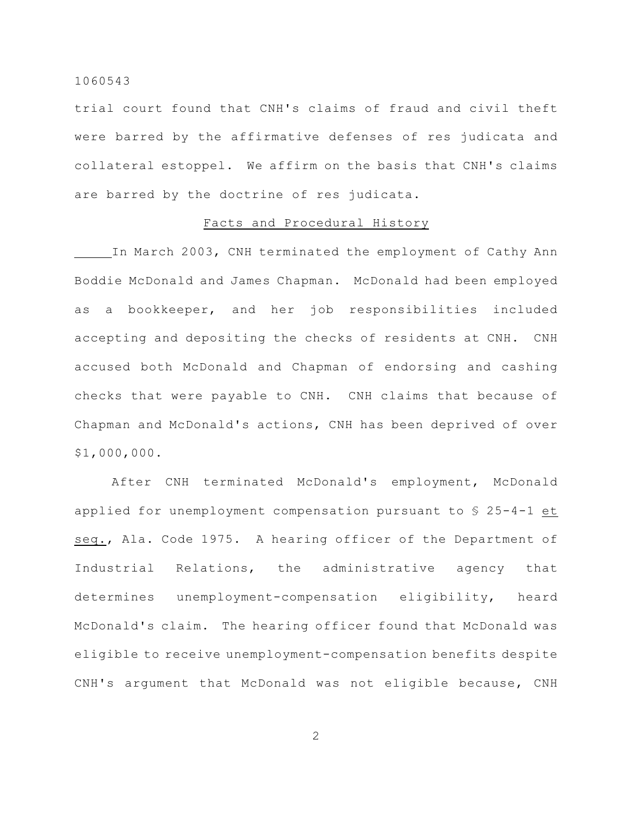trial court found that CNH's claims of fraud and civil theft were barred by the affirmative defenses of res judicata and collateral estoppel. We affirm on the basis that CNH's claims are barred by the doctrine of res judicata.

#### Facts and Procedural History

In March 2003, CNH terminated the employment of Cathy Ann Boddie McDonald and James Chapman. McDonald had been employed as a bookkeeper, and her job responsibilities included accepting and depositing the checks of residents at CNH. CNH accused both McDonald and Chapman of endorsing and cashing checks that were payable to CNH. CNH claims that because of Chapman and McDonald's actions, CNH has been deprived of over \$1,000,000.

After CNH terminated McDonald's employment, McDonald applied for unemployment compensation pursuant to § 25-4-1 et seq., Ala. Code 1975. A hearing officer of the Department of Industrial Relations, the administrative agency that determines unemployment-compensation eligibility, heard McDonald's claim. The hearing officer found that McDonald was eligible to receive unemployment-compensation benefits despite CNH's argument that McDonald was not eligible because, CNH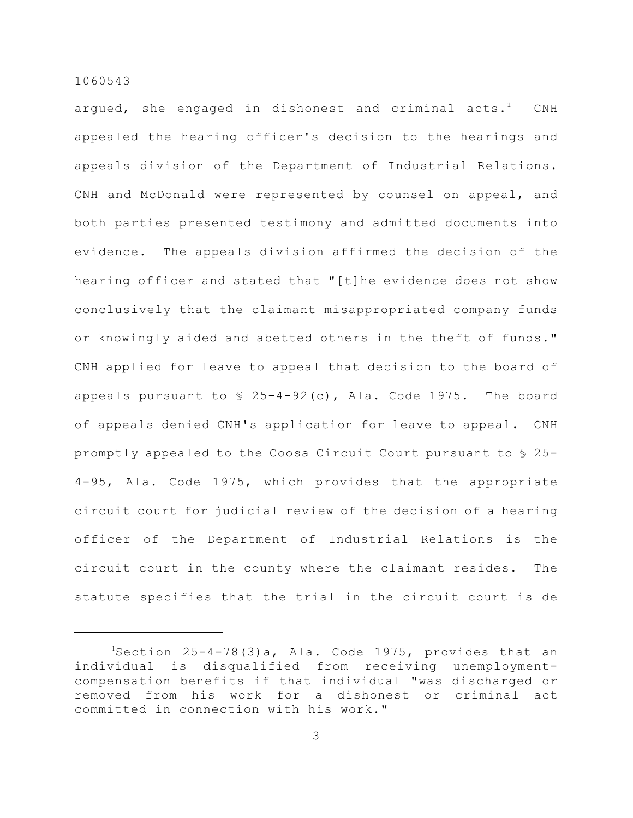argued, she engaged in dishonest and criminal  $acts.$ <sup>1</sup>  $CNH$ appealed the hearing officer's decision to the hearings and appeals division of the Department of Industrial Relations. CNH and McDonald were represented by counsel on appeal, and both parties presented testimony and admitted documents into evidence. The appeals division affirmed the decision of the hearing officer and stated that "[t]he evidence does not show conclusively that the claimant misappropriated company funds or knowingly aided and abetted others in the theft of funds." CNH applied for leave to appeal that decision to the board of appeals pursuant to  $\frac{1}{2}$  25-4-92(c), Ala. Code 1975. The board of appeals denied CNH's application for leave to appeal. CNH promptly appealed to the Coosa Circuit Court pursuant to § 25- 4-95, Ala. Code 1975, which provides that the appropriate circuit court for judicial review of the decision of a hearing officer of the Department of Industrial Relations is the circuit court in the county where the claimant resides. The statute specifies that the trial in the circuit court is de

 $S<sup>1</sup>$ Section 25-4-78(3)a, Ala. Code 1975, provides that an individual is disqualified from receiving unemploymentcompensation benefits if that individual "was discharged or removed from his work for a dishonest or criminal act committed in connection with his work."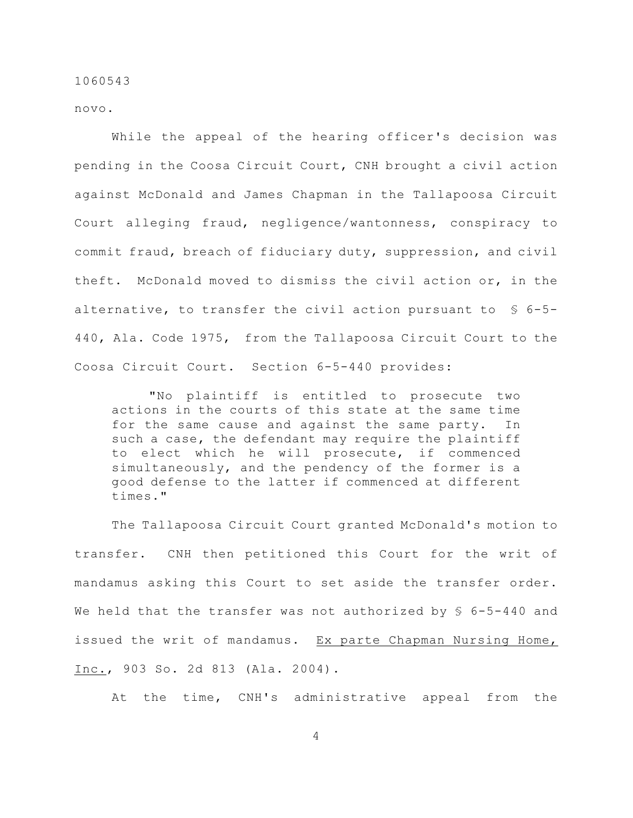novo.

While the appeal of the hearing officer's decision was pending in the Coosa Circuit Court, CNH brought a civil action against McDonald and James Chapman in the Tallapoosa Circuit Court alleging fraud, negligence/wantonness, conspiracy to commit fraud, breach of fiduciary duty, suppression, and civil theft. McDonald moved to dismiss the civil action or, in the alternative, to transfer the civil action pursuant to § 6-5- 440, Ala. Code 1975, from the Tallapoosa Circuit Court to the Coosa Circuit Court. Section 6-5-440 provides:

"No plaintiff is entitled to prosecute two actions in the courts of this state at the same time for the same cause and against the same party. In such a case, the defendant may require the plaintiff to elect which he will prosecute, if commenced simultaneously, and the pendency of the former is a good defense to the latter if commenced at different times."

The Tallapoosa Circuit Court granted McDonald's motion to transfer. CNH then petitioned this Court for the writ of mandamus asking this Court to set aside the transfer order. We held that the transfer was not authorized by  $\frac{1}{5}$  6-5-440 and issued the writ of mandamus. Ex parte Chapman Nursing Home, Inc., 903 So. 2d 813 (Ala. 2004).

At the time, CNH's administrative appeal from the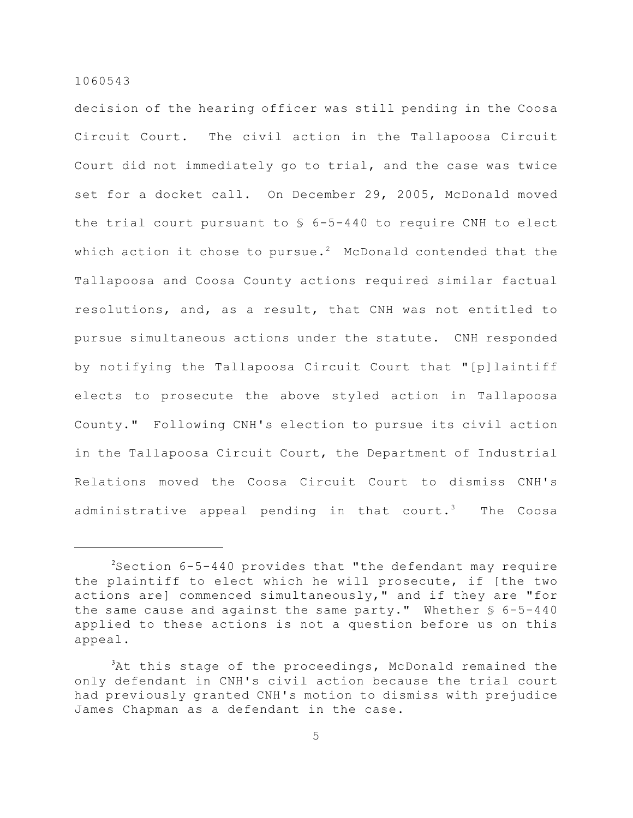decision of the hearing officer was still pending in the Coosa Circuit Court. The civil action in the Tallapoosa Circuit Court did not immediately go to trial, and the case was twice set for a docket call. On December 29, 2005, McDonald moved the trial court pursuant to § 6-5-440 to require CNH to elect which action it chose to pursue.<sup>2</sup> McDonald contended that the Tallapoosa and Coosa County actions required similar factual resolutions, and, as a result, that CNH was not entitled to pursue simultaneous actions under the statute. CNH responded by notifying the Tallapoosa Circuit Court that "[p]laintiff elects to prosecute the above styled action in Tallapoosa County." Following CNH's election to pursue its civil action in the Tallapoosa Circuit Court, the Department of Industrial Relations moved the Coosa Circuit Court to dismiss CNH's administrative appeal pending in that court.<sup>3</sup> The Coosa

 $3$ Section 6-5-440 provides that "the defendant may require the plaintiff to elect which he will prosecute, if [the two actions are] commenced simultaneously," and if they are "for the same cause and against the same party." Whether  $\S$  6-5-440 applied to these actions is not a question before us on this appeal.

 ${}^{3}$ At this stage of the proceedings, McDonald remained the only defendant in CNH's civil action because the trial court had previously granted CNH's motion to dismiss with prejudice James Chapman as a defendant in the case.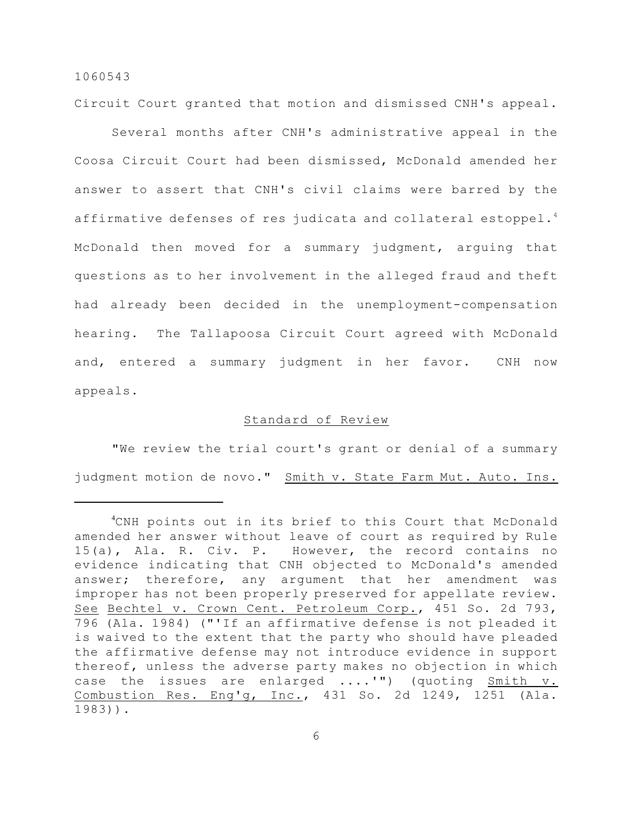Circuit Court granted that motion and dismissed CNH's appeal.

Several months after CNH's administrative appeal in the Coosa Circuit Court had been dismissed, McDonald amended her answer to assert that CNH's civil claims were barred by the affirmative defenses of res judicata and collateral estoppel.<sup>4</sup> McDonald then moved for a summary judgment, arguing that questions as to her involvement in the alleged fraud and theft had already been decided in the unemployment-compensation hearing. The Tallapoosa Circuit Court agreed with McDonald and, entered a summary judgment in her favor. CNH now appeals.

## Standard of Review

"We review the trial court's grant or denial of a summary judgment motion de novo." Smith v. State Farm Mut. Auto. Ins.

<sup>&</sup>lt;sup>4</sup>CNH points out in its brief to this Court that McDonald amended her answer without leave of court as required by Rule 15(a), Ala. R. Civ. P. However, the record contains no evidence indicating that CNH objected to McDonald's amended answer; therefore, any argument that her amendment was improper has not been properly preserved for appellate review. See Bechtel v. Crown Cent. Petroleum Corp., 451 So. 2d 793, 796 (Ala. 1984) ("'If an affirmative defense is not pleaded it is waived to the extent that the party who should have pleaded the affirmative defense may not introduce evidence in support thereof, unless the adverse party makes no objection in which case the issues are enlarged ....'") (quoting Smith v. Combustion Res. Eng'g, Inc., 431 So. 2d 1249, 1251 (Ala. 1983)).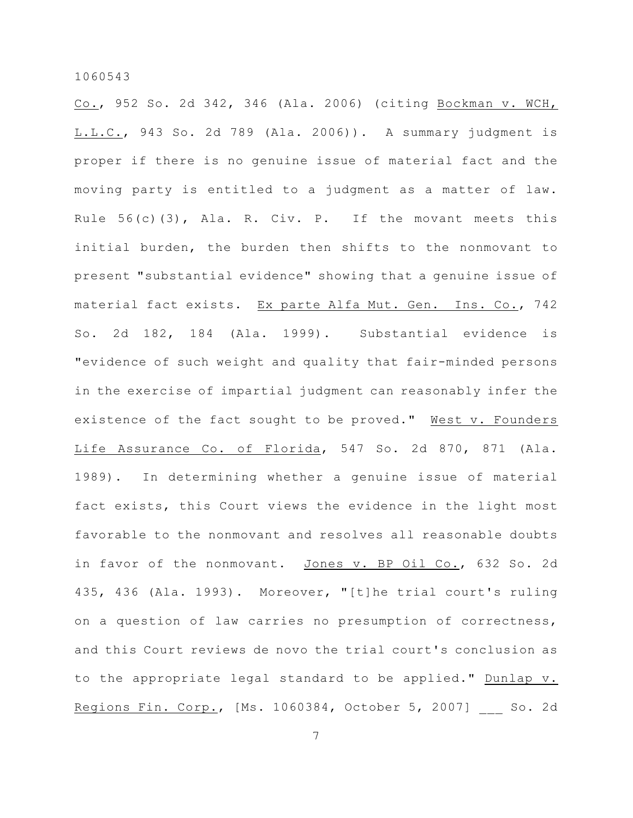Co., 952 So. 2d 342, 346 (Ala. 2006) (citing Bockman v. WCH, L.L.C., 943 So. 2d 789 (Ala. 2006)). A summary judgment is proper if there is no genuine issue of material fact and the moving party is entitled to a judgment as a matter of law. Rule  $56(c)(3)$ , Ala. R. Civ. P. If the movant meets this initial burden, the burden then shifts to the nonmovant to present "substantial evidence" showing that a genuine issue of material fact exists. Ex parte Alfa Mut. Gen. Ins. Co., 742 So. 2d 182, 184 (Ala. 1999). Substantial evidence is "evidence of such weight and quality that fair-minded persons in the exercise of impartial judgment can reasonably infer the existence of the fact sought to be proved." West v. Founders Life Assurance Co. of Florida, 547 So. 2d 870, 871 (Ala. 1989). In determining whether a genuine issue of material fact exists, this Court views the evidence in the light most favorable to the nonmovant and resolves all reasonable doubts in favor of the nonmovant. Jones v. BP Oil Co., 632 So. 2d 435, 436 (Ala. 1993). Moreover, "[t]he trial court's ruling on a question of law carries no presumption of correctness, and this Court reviews de novo the trial court's conclusion as to the appropriate legal standard to be applied." Dunlap v. Regions Fin. Corp., [Ms. 1060384, October 5, 2007] So. 2d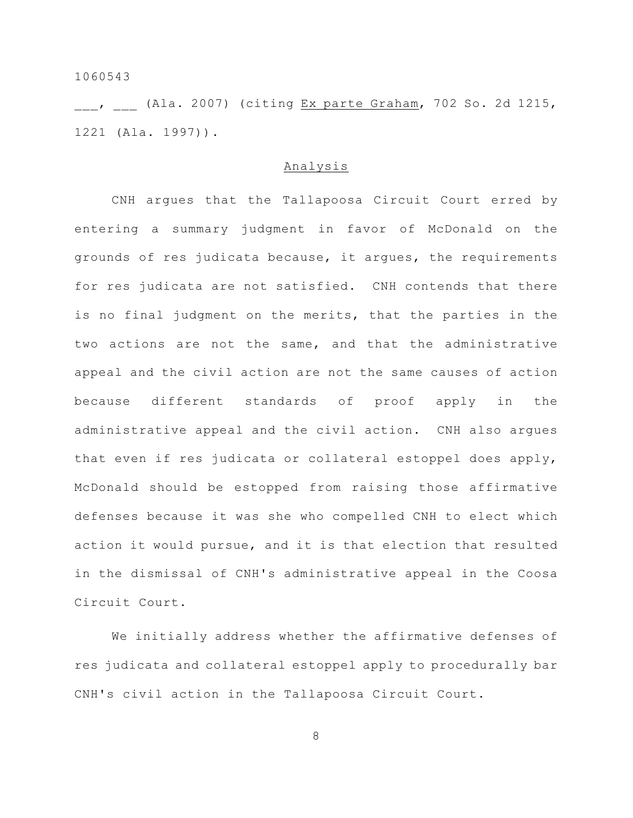, (Ala. 2007) (citing Ex parte Graham, 702 So. 2d 1215, 1221 (Ala. 1997)).

#### Analysis

CNH argues that the Tallapoosa Circuit Court erred by entering a summary judgment in favor of McDonald on the grounds of res judicata because, it argues, the requirements for res judicata are not satisfied. CNH contends that there is no final judgment on the merits, that the parties in the two actions are not the same, and that the administrative appeal and the civil action are not the same causes of action because different standards of proof apply in the administrative appeal and the civil action. CNH also argues that even if res judicata or collateral estoppel does apply, McDonald should be estopped from raising those affirmative defenses because it was she who compelled CNH to elect which action it would pursue, and it is that election that resulted in the dismissal of CNH's administrative appeal in the Coosa Circuit Court.

We initially address whether the affirmative defenses of res judicata and collateral estoppel apply to procedurally bar CNH's civil action in the Tallapoosa Circuit Court.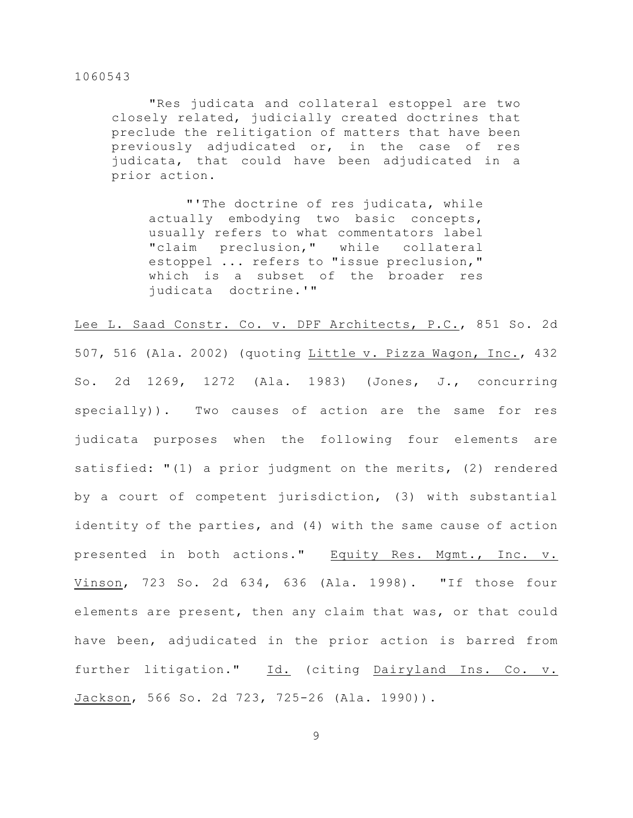"Res judicata and collateral estoppel are two closely related, judicially created doctrines that preclude the relitigation of matters that have been previously adjudicated or, in the case of res judicata, that could have been adjudicated in a prior action.

"'The doctrine of res judicata, while actually embodying two basic concepts, usually refers to what commentators label "claim preclusion," while collateral estoppel ... refers to "issue preclusion," which is a subset of the broader res judicata doctrine.'"

Lee L. Saad Constr. Co. v. DPF Architects, P.C., 851 So. 2d 507, 516 (Ala. 2002) (quoting Little v. Pizza Wagon, Inc., 432 So. 2d 1269, 1272 (Ala. 1983) (Jones, J., concurring specially)). Two causes of action are the same for res judicata purposes when the following four elements are satisfied: "(1) a prior judgment on the merits, (2) rendered by a court of competent jurisdiction, (3) with substantial identity of the parties, and (4) with the same cause of action presented in both actions." Equity Res. Mgmt., Inc. v. Vinson, 723 So. 2d 634, 636 (Ala. 1998). "If those four elements are present, then any claim that was, or that could have been, adjudicated in the prior action is barred from further litigation." Id. (citing Dairyland Ins. Co. v. Jackson, 566 So. 2d 723, 725-26 (Ala. 1990)).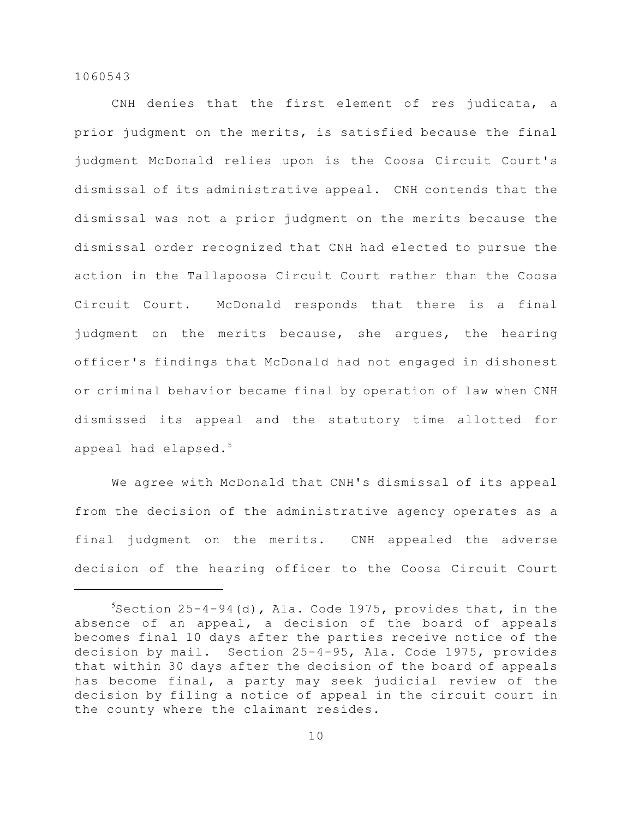CNH denies that the first element of res judicata, a prior judgment on the merits, is satisfied because the final judgment McDonald relies upon is the Coosa Circuit Court's dismissal of its administrative appeal. CNH contends that the dismissal was not a prior judgment on the merits because the dismissal order recognized that CNH had elected to pursue the action in the Tallapoosa Circuit Court rather than the Coosa Circuit Court. McDonald responds that there is a final judgment on the merits because, she argues, the hearing officer's findings that McDonald had not engaged in dishonest or criminal behavior became final by operation of law when CNH dismissed its appeal and the statutory time allotted for appeal had elapsed. 5

We agree with McDonald that CNH's dismissal of its appeal from the decision of the administrative agency operates as a final judgment on the merits. CNH appealed the adverse decision of the hearing officer to the Coosa Circuit Court

 $5$ Section 25-4-94(d), Ala. Code 1975, provides that, in the absence of an appeal, a decision of the board of appeals becomes final 10 days after the parties receive notice of the decision by mail. Section 25-4-95, Ala. Code 1975, provides that within 30 days after the decision of the board of appeals has become final, a party may seek judicial review of the decision by filing a notice of appeal in the circuit court in the county where the claimant resides.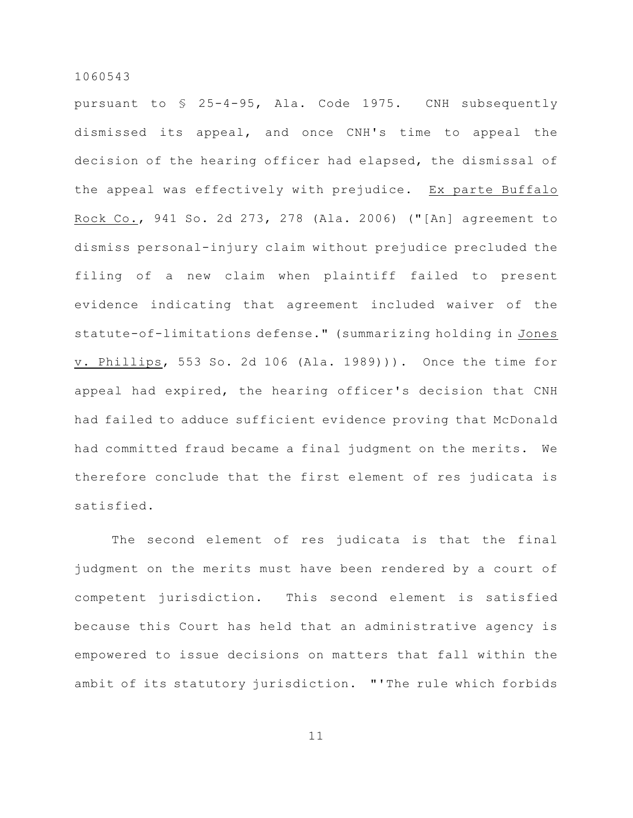pursuant to § 25-4-95, Ala. Code 1975. CNH subsequently dismissed its appeal, and once CNH's time to appeal the decision of the hearing officer had elapsed, the dismissal of the appeal was effectively with prejudice. Ex parte Buffalo Rock Co., 941 So. 2d 273, 278 (Ala. 2006) ("[An] agreement to dismiss personal-injury claim without prejudice precluded the filing of a new claim when plaintiff failed to present evidence indicating that agreement included waiver of the statute-of-limitations defense." (summarizing holding in Jones v. Phillips, 553 So. 2d 106 (Ala. 1989))). Once the time for appeal had expired, the hearing officer's decision that CNH had failed to adduce sufficient evidence proving that McDonald had committed fraud became a final judgment on the merits. We therefore conclude that the first element of res judicata is satisfied.

The second element of res judicata is that the final judgment on the merits must have been rendered by a court of competent jurisdiction. This second element is satisfied because this Court has held that an administrative agency is empowered to issue decisions on matters that fall within the ambit of its statutory jurisdiction. "'The rule which forbids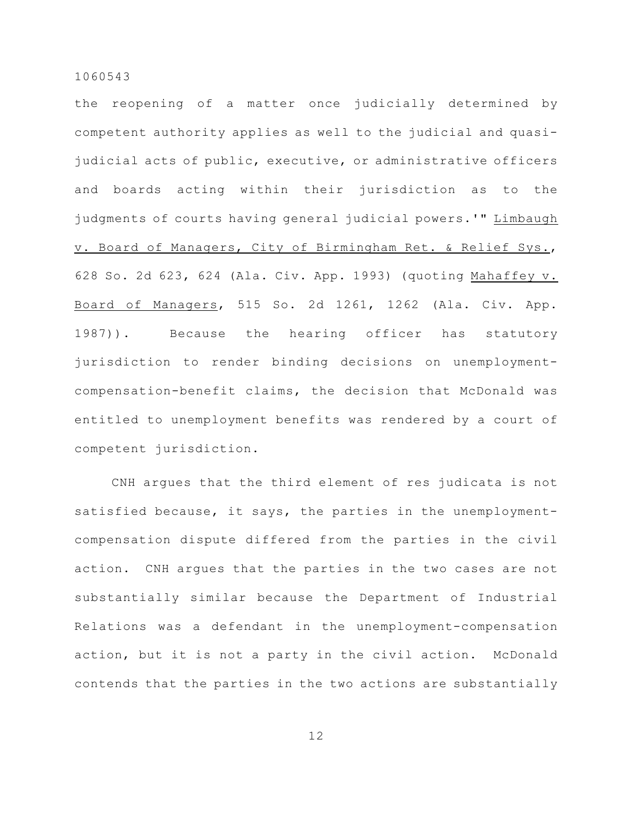the reopening of a matter once judicially determined by competent authority applies as well to the judicial and quasijudicial acts of public, executive, or administrative officers and boards acting within their jurisdiction as to the judgments of courts having general judicial powers.'" Limbaugh v. Board of Managers, City of Birmingham Ret. & Relief Sys., 628 So. 2d 623, 624 (Ala. Civ. App. 1993) (quoting Mahaffey v. Board of Managers, 515 So. 2d 1261, 1262 (Ala. Civ. App. 1987)). Because the hearing officer has statutory jurisdiction to render binding decisions on unemploymentcompensation-benefit claims, the decision that McDonald was entitled to unemployment benefits was rendered by a court of competent jurisdiction.

CNH argues that the third element of res judicata is not satisfied because, it says, the parties in the unemploymentcompensation dispute differed from the parties in the civil action. CNH argues that the parties in the two cases are not substantially similar because the Department of Industrial Relations was a defendant in the unemployment-compensation action, but it is not a party in the civil action. McDonald contends that the parties in the two actions are substantially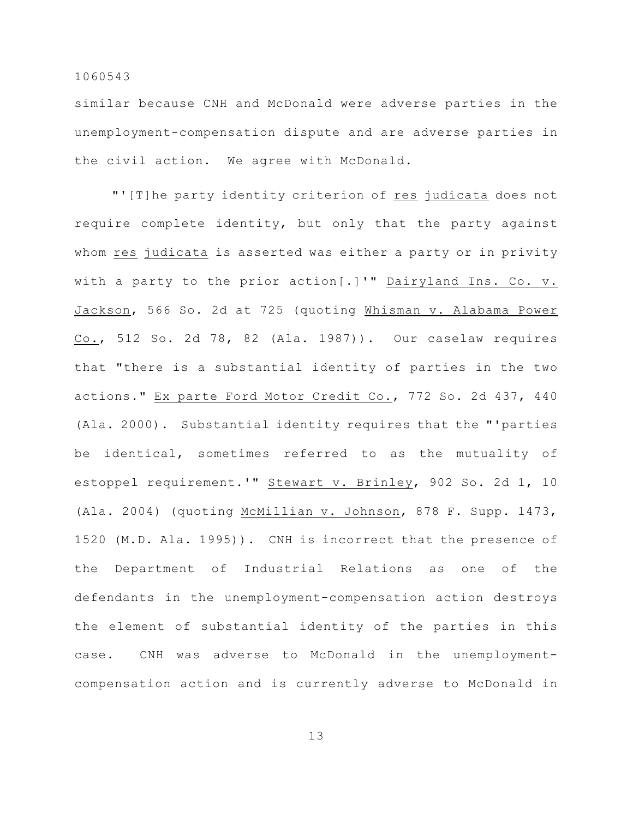similar because CNH and McDonald were adverse parties in the unemployment-compensation dispute and are adverse parties in the civil action. We agree with McDonald.

"'[T]he party identity criterion of res judicata does not require complete identity, but only that the party against whom res judicata is asserted was either a party or in privity with a party to the prior action[.]'" Dairyland Ins. Co. v. Jackson, 566 So. 2d at 725 (quoting Whisman v. Alabama Power Co., 512 So. 2d 78, 82 (Ala. 1987)). Our caselaw requires that "there is a substantial identity of parties in the two actions." Ex parte Ford Motor Credit Co., 772 So. 2d 437, 440 (Ala. 2000). Substantial identity requires that the "'parties be identical, sometimes referred to as the mutuality of estoppel requirement.'" Stewart v. Brinley, 902 So. 2d 1, 10 (Ala. 2004) (quoting McMillian v. Johnson, 878 F. Supp. 1473, 1520 (M.D. Ala. 1995)). CNH is incorrect that the presence of the Department of Industrial Relations as one of the defendants in the unemployment-compensation action destroys the element of substantial identity of the parties in this case. CNH was adverse to McDonald in the unemploymentcompensation action and is currently adverse to McDonald in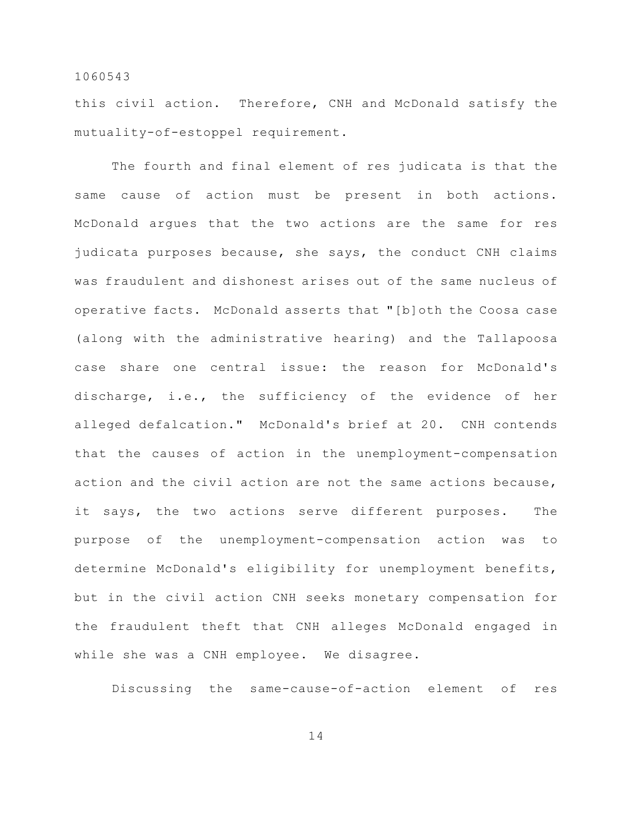this civil action. Therefore, CNH and McDonald satisfy the mutuality-of-estoppel requirement.

The fourth and final element of res judicata is that the same cause of action must be present in both actions. McDonald argues that the two actions are the same for res judicata purposes because, she says, the conduct CNH claims was fraudulent and dishonest arises out of the same nucleus of operative facts. McDonald asserts that "[b]oth the Coosa case (along with the administrative hearing) and the Tallapoosa case share one central issue: the reason for McDonald's discharge, i.e., the sufficiency of the evidence of her alleged defalcation." McDonald's brief at 20. CNH contends that the causes of action in the unemployment-compensation action and the civil action are not the same actions because, it says, the two actions serve different purposes. The purpose of the unemployment-compensation action was to determine McDonald's eligibility for unemployment benefits, but in the civil action CNH seeks monetary compensation for the fraudulent theft that CNH alleges McDonald engaged in while she was a CNH employee. We disagree.

Discussing the same-cause-of-action element of res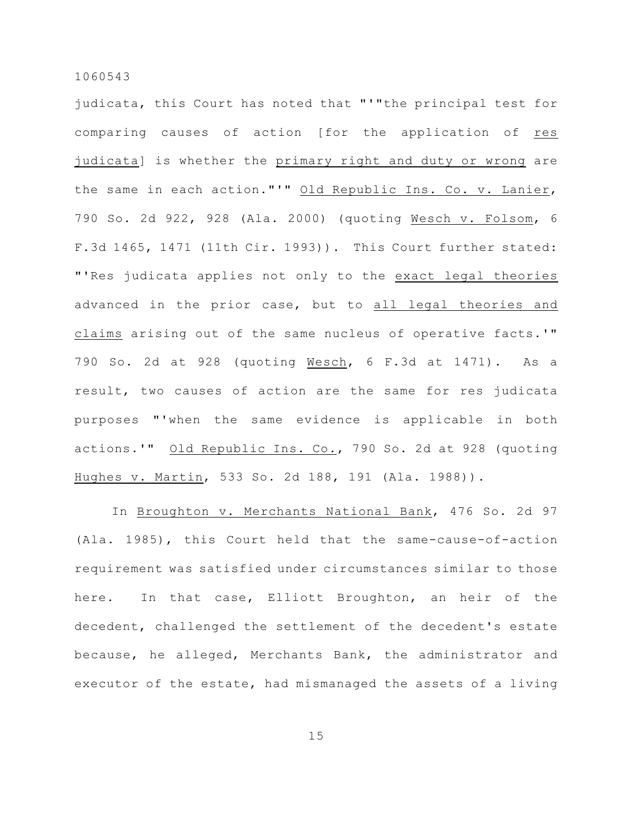judicata, this Court has noted that "'"the principal test for comparing causes of action [for the application of res judicata] is whether the primary right and duty or wrong are the same in each action."'" Old Republic Ins. Co. v. Lanier, 790 So. 2d 922, 928 (Ala. 2000) (quoting Wesch v. Folsom, 6 F.3d 1465, 1471 (11th Cir. 1993)). This Court further stated: "'Res judicata applies not only to the exact legal theories advanced in the prior case, but to all legal theories and claims arising out of the same nucleus of operative facts.'" 790 So. 2d at 928 (quoting Wesch, 6 F.3d at 1471). As a result, two causes of action are the same for res judicata purposes "'when the same evidence is applicable in both actions.'" Old Republic Ins. Co., 790 So. 2d at 928 (quoting Hughes v. Martin, 533 So. 2d 188, 191 (Ala. 1988)).

In Broughton v. Merchants National Bank, 476 So. 2d 97 (Ala. 1985), this Court held that the same-cause-of-action requirement was satisfied under circumstances similar to those here. In that case, Elliott Broughton, an heir of the decedent, challenged the settlement of the decedent's estate because, he alleged, Merchants Bank, the administrator and executor of the estate, had mismanaged the assets of a living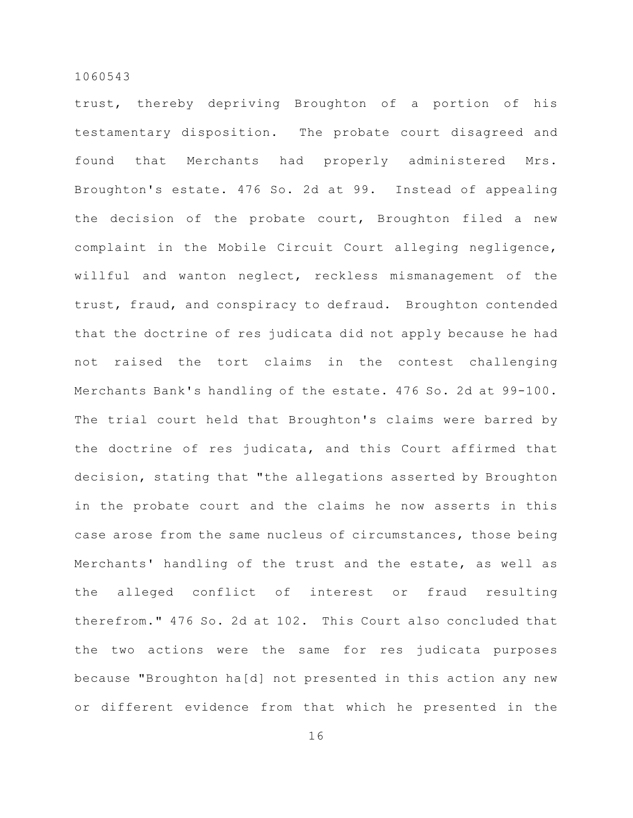trust, thereby depriving Broughton of a portion of his testamentary disposition. The probate court disagreed and found that Merchants had properly administered Mrs. Broughton's estate. 476 So. 2d at 99. Instead of appealing the decision of the probate court, Broughton filed a new complaint in the Mobile Circuit Court alleging negligence, willful and wanton neglect, reckless mismanagement of the trust, fraud, and conspiracy to defraud. Broughton contended that the doctrine of res judicata did not apply because he had not raised the tort claims in the contest challenging Merchants Bank's handling of the estate. 476 So. 2d at 99-100. The trial court held that Broughton's claims were barred by the doctrine of res judicata, and this Court affirmed that decision, stating that "the allegations asserted by Broughton in the probate court and the claims he now asserts in this case arose from the same nucleus of circumstances, those being Merchants' handling of the trust and the estate, as well as the alleged conflict of interest or fraud resulting therefrom." 476 So. 2d at 102. This Court also concluded that the two actions were the same for res judicata purposes because "Broughton ha[d] not presented in this action any new or different evidence from that which he presented in the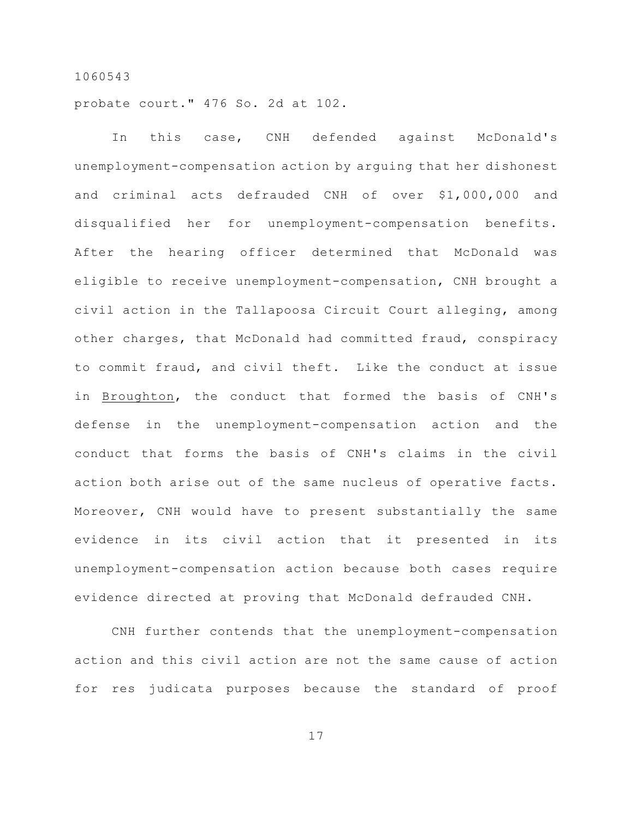probate court." 476 So. 2d at 102.

In this case, CNH defended against McDonald's unemployment-compensation action by arguing that her dishonest and criminal acts defrauded CNH of over \$1,000,000 and disqualified her for unemployment-compensation benefits. After the hearing officer determined that McDonald was eligible to receive unemployment-compensation, CNH brought a civil action in the Tallapoosa Circuit Court alleging, among other charges, that McDonald had committed fraud, conspiracy to commit fraud, and civil theft. Like the conduct at issue in Broughton, the conduct that formed the basis of CNH's defense in the unemployment-compensation action and the conduct that forms the basis of CNH's claims in the civil action both arise out of the same nucleus of operative facts. Moreover, CNH would have to present substantially the same evidence in its civil action that it presented in its unemployment-compensation action because both cases require evidence directed at proving that McDonald defrauded CNH.

CNH further contends that the unemployment-compensation action and this civil action are not the same cause of action for res judicata purposes because the standard of proof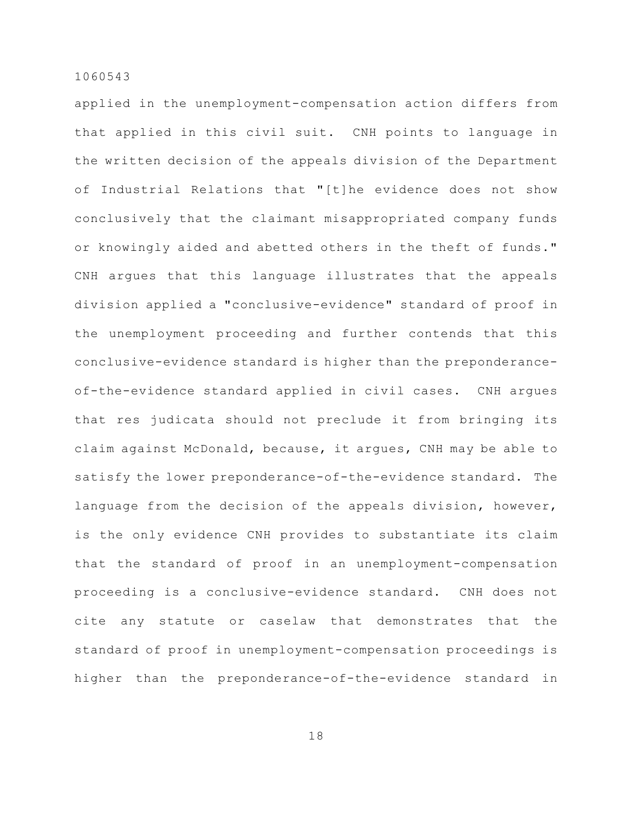applied in the unemployment-compensation action differs from that applied in this civil suit. CNH points to language in the written decision of the appeals division of the Department of Industrial Relations that "[t]he evidence does not show conclusively that the claimant misappropriated company funds or knowingly aided and abetted others in the theft of funds." CNH argues that this language illustrates that the appeals division applied a "conclusive-evidence" standard of proof in the unemployment proceeding and further contends that this conclusive-evidence standard is higher than the preponderanceof-the-evidence standard applied in civil cases. CNH argues that res judicata should not preclude it from bringing its claim against McDonald, because, it argues, CNH may be able to satisfy the lower preponderance-of-the-evidence standard. The language from the decision of the appeals division, however, is the only evidence CNH provides to substantiate its claim that the standard of proof in an unemployment-compensation proceeding is a conclusive-evidence standard. CNH does not cite any statute or caselaw that demonstrates that the standard of proof in unemployment-compensation proceedings is higher than the preponderance-of-the-evidence standard in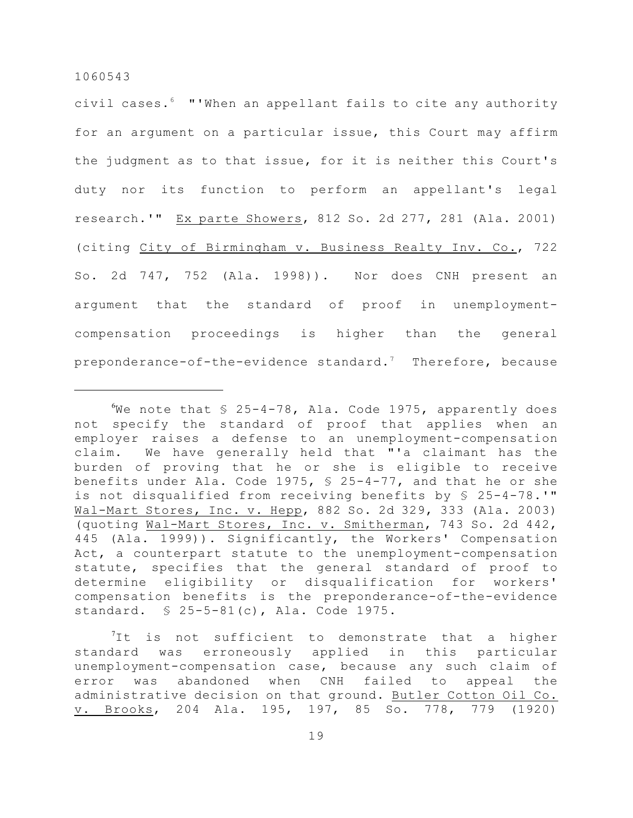civil cases. "'When an appellant fails to cite any authority <sup>6</sup> for an argument on a particular issue, this Court may affirm the judgment as to that issue, for it is neither this Court's duty nor its function to perform an appellant's legal research.'" Ex parte Showers, 812 So. 2d 277, 281 (Ala. 2001) (citing City of Birmingham v. Business Realty Inv. Co., 722 So. 2d 747, 752 (Ala. 1998)). Nor does CNH present an argument that the standard of proof in unemploymentcompensation proceedings is higher than the general preponderance-of-the-evidence standard.<sup>7</sup> Therefore, because

We note that  $$ 25-4-78$ , Ala. Code 1975, apparently does not specify the standard of proof that applies when an employer raises a defense to an unemployment-compensation claim. We have generally held that "'a claimant has the burden of proving that he or she is eligible to receive benefits under Ala. Code 1975, § 25-4-77, and that he or she is not disqualified from receiving benefits by § 25-4-78.'" Wal-Mart Stores, Inc. v. Hepp, 882 So. 2d 329, 333 (Ala. 2003) (quoting Wal-Mart Stores, Inc. v. Smitherman, 743 So. 2d 442, 445 (Ala. 1999)). Significantly, the Workers' Compensation Act, a counterpart statute to the unemployment-compensation statute, specifies that the general standard of proof to determine eligibility or disqualification for workers' compensation benefits is the preponderance-of-the-evidence standard. § 25-5-81(c), Ala. Code 1975.

 ${}^{7}$ It is not sufficient to demonstrate that a higher standard was erroneously applied in this particular unemployment-compensation case, because any such claim of error was abandoned when CNH failed to appeal the administrative decision on that ground. Butler Cotton Oil Co. v. Brooks, 204 Ala. 195, 197, 85 So. 778, 779 (1920)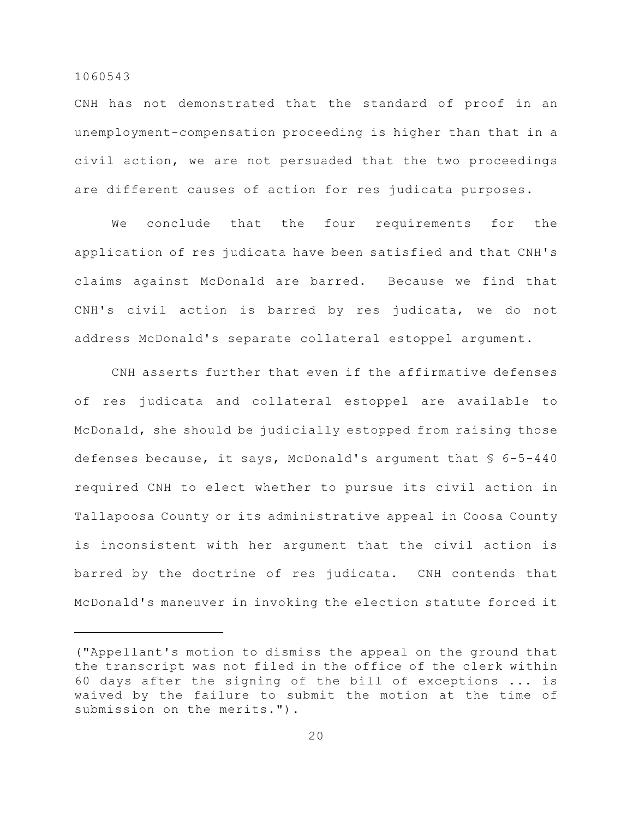CNH has not demonstrated that the standard of proof in an unemployment-compensation proceeding is higher than that in a civil action, we are not persuaded that the two proceedings are different causes of action for res judicata purposes.

We conclude that the four requirements for the application of res judicata have been satisfied and that CNH's claims against McDonald are barred. Because we find that CNH's civil action is barred by res judicata, we do not address McDonald's separate collateral estoppel argument.

CNH asserts further that even if the affirmative defenses of res judicata and collateral estoppel are available to McDonald, she should be judicially estopped from raising those defenses because, it says, McDonald's argument that § 6-5-440 required CNH to elect whether to pursue its civil action in Tallapoosa County or its administrative appeal in Coosa County is inconsistent with her argument that the civil action is barred by the doctrine of res judicata. CNH contends that McDonald's maneuver in invoking the election statute forced it

<sup>(&</sup>quot;Appellant's motion to dismiss the appeal on the ground that the transcript was not filed in the office of the clerk within 60 days after the signing of the bill of exceptions ... is waived by the failure to submit the motion at the time of submission on the merits.").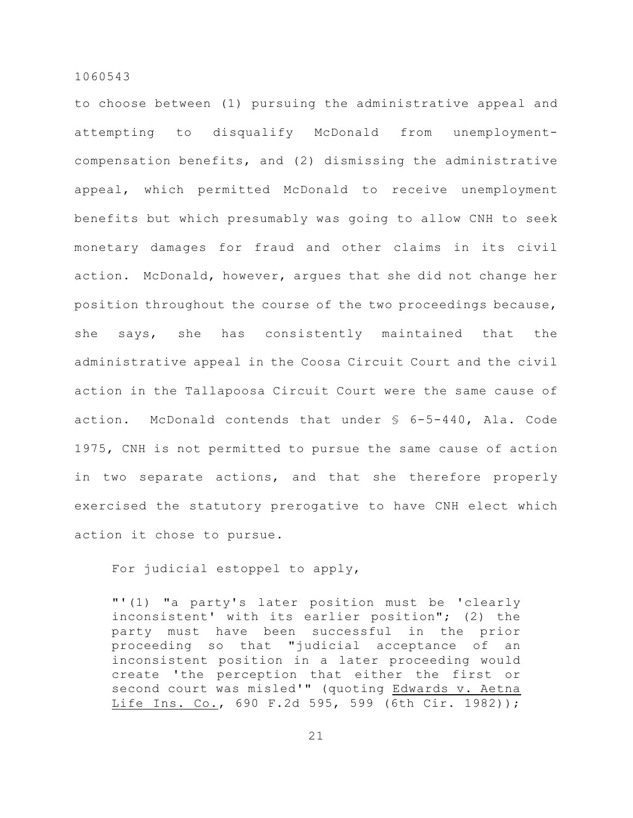to choose between (1) pursuing the administrative appeal and attempting to disqualify McDonald from unemploymentcompensation benefits, and (2) dismissing the administrative appeal, which permitted McDonald to receive unemployment benefits but which presumably was going to allow CNH to seek monetary damages for fraud and other claims in its civil action. McDonald, however, argues that she did not change her position throughout the course of the two proceedings because, she says, she has consistently maintained that the administrative appeal in the Coosa Circuit Court and the civil action in the Tallapoosa Circuit Court were the same cause of action. McDonald contends that under § 6-5-440, Ala. Code 1975, CNH is not permitted to pursue the same cause of action in two separate actions, and that she therefore properly exercised the statutory prerogative to have CNH elect which action it chose to pursue.

For judicial estoppel to apply,

"'(1) "a party's later position must be 'clearly inconsistent' with its earlier position"; (2) the party must have been successful in the prior proceeding so that "judicial acceptance of an inconsistent position in a later proceeding would create 'the perception that either the first or second court was misled'" (quoting Edwards v. Aetna Life Ins. Co., 690 F.2d 595, 599 (6th Cir. 1982));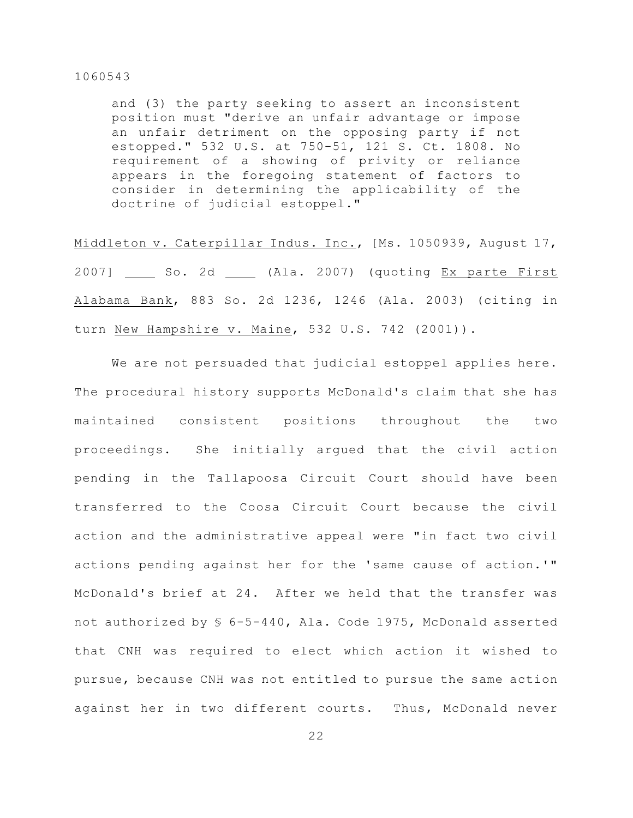and (3) the party seeking to assert an inconsistent position must "derive an unfair advantage or impose an unfair detriment on the opposing party if not estopped." 532 U.S. at 750-51, 121 S. Ct. 1808. No requirement of a showing of privity or reliance appears in the foregoing statement of factors to consider in determining the applicability of the doctrine of judicial estoppel."

Middleton v. Caterpillar Indus. Inc., [Ms. 1050939, August 17, 2007] \_\_\_\_\_ So. 2d \_\_\_\_\_ (Ala. 2007) (quoting Ex parte First Alabama Bank, 883 So. 2d 1236, 1246 (Ala. 2003) (citing in turn New Hampshire v. Maine, 532 U.S. 742 (2001)).

We are not persuaded that judicial estoppel applies here. The procedural history supports McDonald's claim that she has maintained consistent positions throughout the two proceedings. She initially argued that the civil action pending in the Tallapoosa Circuit Court should have been transferred to the Coosa Circuit Court because the civil action and the administrative appeal were "in fact two civil actions pending against her for the 'same cause of action.'" McDonald's brief at 24. After we held that the transfer was not authorized by § 6-5-440, Ala. Code 1975, McDonald asserted that CNH was required to elect which action it wished to pursue, because CNH was not entitled to pursue the same action against her in two different courts. Thus, McDonald never